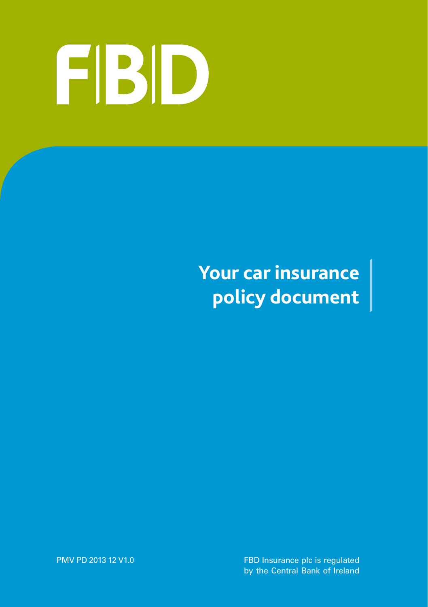# FBD

**Your car insurance policy document**

PMV PD 2013 12 V1.0

FBD Insurance plc is regulated by the Central Bank of Ireland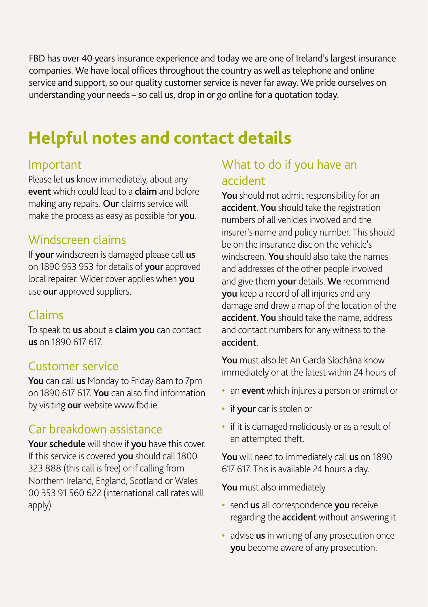FBD has over 40 years insurance experience and today we are one of Ireland's largest insurance companies. We have local offices throughout the country as well as telephone and online service and support, so our quality customer service is never far away. We pride ourselves on understanding your needs – so call us, drop in or go online for a quotation today.

# **Helpful notes and contact details**

## Important

Please let us know immediately, about any event which could lead to a claim and before making any repairs. **Our** claims service will make the process as easy as possible for you.

# Windscreen claims

If **vour** windscreen is damaged please call us on 1890 953 953 for details of your approved local repairer. Wider cover applies when you use our approved suppliers.

# Claims

To speak to us about a claim you can contact us on 1890 617 617.

# Customer service

You can call us Monday to Friday 8am to 7pm on 1890 617 617. You can also find information by visiting our website www.fbd.ie.

# Car breakdown assistance

Your schedule will show if you have this cover. If this service is covered you should call 1800 323 888 (this call is free) or if calling from Northern Ireland, England, Scotland or Wales 00 353 91 560 622 (international call rates will apply).

# What to do if you have an accident

You should not admit responsibility for an accident. You should take the registration numbers of all vehicles involved and the insurer's name and policy number. This should be on the insurance disc on the vehicle's windscreen. You should also take the names and addresses of the other people involved and give them your details. We recommend you keep a record of all injuries and any damage and draw a map of the location of the accident. You should take the name, address and contact numbers for any witness to the accident.

You must also let An Garda Síochána know immediately or at the latest within 24 hours of

- an **event** which injures a person or animal or
- if your car is stolen or
- if it is damaged maliciously or as a result of an attempted theft.

You will need to immediately call us on 1890 617 617. This is available 24 hours a day.

You must also immediately

- send us all correspondence you receive regarding the **accident** without answering it.
- advise **us** in writing of any prosecution once you become aware of any prosecution.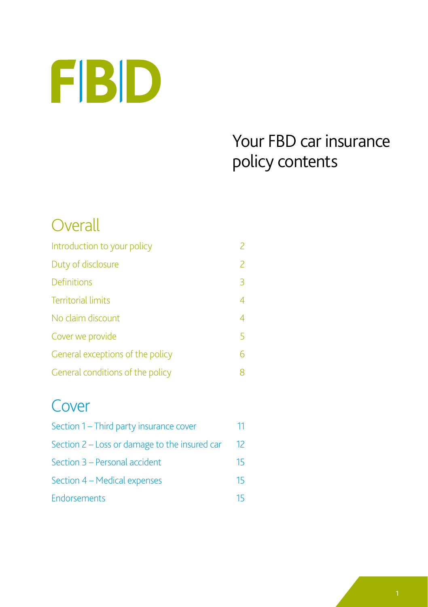# FBD

# Your FBD car insurance policy contents

| Overall                          |    |
|----------------------------------|----|
| Introduction to your policy      | 2  |
| Duty of disclosure               | 2  |
| <b>Definitions</b>               | З  |
| <b>Territorial limits</b>        | 4  |
| No claim discount                | 4  |
| Cover we provide                 | 5  |
| General exceptions of the policy | 6. |
| General conditions of the policy | 8  |

# Cover

| Section 1 - Third party insurance cover       |     |
|-----------------------------------------------|-----|
| Section 2 – Loss or damage to the insured car | -12 |
| Section 3 – Personal accident                 | 15  |
| Section 4 - Medical expenses                  | 15. |
| <b>Endorsements</b>                           |     |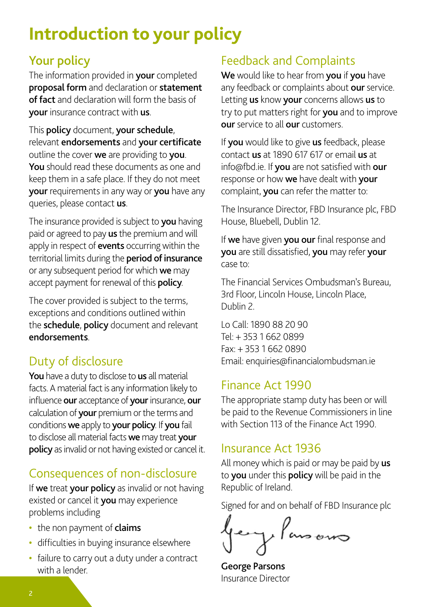# **Introduction to your policy**

# Your policy

The information provided in your completed proposal form and declaration or statement of fact and declaration will form the basis of your insurance contract with us.

This **policy** document, your schedule, relevant endorsements and your certificate outline the cover we are providing to you. You should read these documents as one and keep them in a safe place. If they do not meet **vour** requirements in any way or you have any queries, please contact us.

The insurance provided is subject to you having paid or agreed to pay us the premium and will apply in respect of **events** occurring within the territorial limits during the period of insurance or any subsequent period for which we may accept payment for renewal of this **policy**.

The cover provided is subject to the terms, exceptions and conditions outlined within the schedule, policy document and relevant endorsements.

# Duty of disclosure

You have a duty to disclose to us all material facts.A material fact is any information likely to influence our acceptance of your insurance, our calculation of **your** premium or the terms and conditions we apply to your policy. If you fail to disclose all material facts we may treat your policy as invalid or not having existed or cancel it.

# Consequences of non-disclosure

If we treat your policy as invalid or not having existed or cancel it you may experience problems including

- the non payment of claims
- difficulties in buying insurance elsewhere
- failure to carry out a duty under a contract with a lender.

# Feedback and Complaints

We would like to hear from you if you have any feedback or complaints about our service. Letting us know your concerns allows us to try to put matters right for you and to improve our service to all our customers.

If **vou** would like to give us feedback, please contact us at 1890 617 617 or email us at info@fbd.ie. If you are not satisfied with our response or how we have dealt with your complaint, you can refer the matter to:

The Insurance Director, FBD Insurance plc, FBD House, Bluebell, Dublin 12.

If we have given you our final response and you are still dissatisfied, you may refer your case to:

The Financial Services Ombudsman's Bureau, 3rd Floor, Lincoln House, Lincoln Place, Dublin 2.

Lo Call: 1890 88 20 90 Tel: + 353 1 662 0899 Fax: + 353 1 662 0890 Email: enquiries@financialombudsman.ie

# Finance Act 1990

The appropriate stamp duty has been or will be paid to the Revenue Commissioners in line with Section 113 of the Finance Act 1990.

# Insurance Act 1936

All money which is paid or may be paid by us to you under this policy will be paid in the Republic of Ireland.

Signed for and on behalf of FBD Insurance plc

yeary lawsom

George Parsons Insurance Director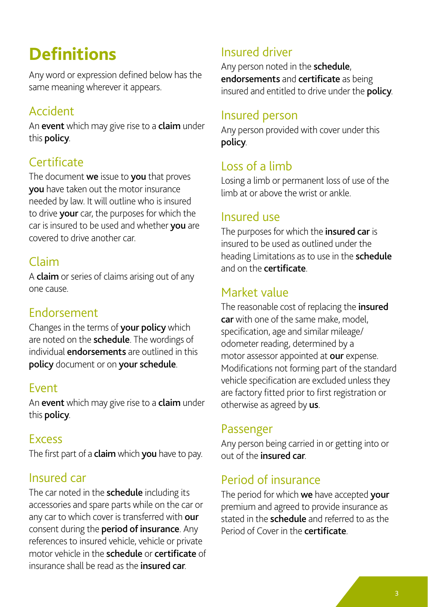# **Definitions**

Any word or expression defined below has the same meaning wherever it appears.

# Accident

An **event** which may give rise to a **claim** under this policy.

# **Certificate**

The document we issue to you that proves you have taken out the motor insurance needed by law. It will outline who is insured to drive your car, the purposes for which the car is insured to be used and whether you are covered to drive another car.

# Claim

A **claim** or series of claims arising out of any one cause.

# Endorsement

Changes in the terms of your policy which are noted on the schedule. The wordings of individual endorsements are outlined in this policy document or on your schedule.

# Event

An **event** which may give rise to a **claim** under this policy.

# **Excess**

The first part of a claim which you have to pay.

# Insured car

The car noted in the **schedule** including its accessories and spare parts while on the car or any car to which cover is transferred with our consent during the period of insurance. Any references to insured vehicle, vehicle or private motor vehicle in the schedule or certificate of insurance shall be read as the insured car.

# Insured driver

Any person noted in the schedule, endorsements and certificate as being insured and entitled to drive under the **policy**.

# Insured person

Any person provided with cover under this policy.

# Loss of a limb

Losing a limb or permanent loss of use of the limb at or above the wrist or ankle.

# Insured use

The purposes for which the **insured car** is insured to be used as outlined under the heading Limitations as to use in the schedule and on the certificate.

# Market value

The reasonable cost of replacing the *insured* car with one of the same make, model, specification, age and similar mileage/ odometer reading, determined by a motor assessor appointed at our expense. Modifications not forming part of the standard vehicle specification are excluded unless they are factory fitted prior to first registration or otherwise as agreed by us.

# Passenger

Any person being carried in or getting into or out of the insured car.

# Period of insurance

The period for which we have accepted your premium and agreed to provide insurance as stated in the **schedule** and referred to as the Period of Cover in the certificate.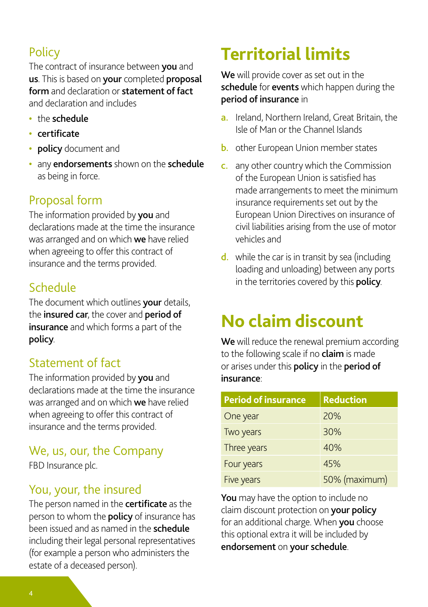# **Policy**

The contract of insurance between you and us. This is based on your completed proposal form and declaration or statement of fact and declaration and includes

- the schedule
- certificate
- policy document and
- any endorsements shown on the schedule as being in force.

# Proposal form

The information provided by **you** and declarations made at the time the insurance was arranged and on which we have relied when agreeing to offer this contract of insurance and the terms provided.

# Schedule

The document which outlines your details, the insured car, the cover and period of insurance and which forms a part of the policy.

# Statement of fact

The information provided by **vou** and declarations made at the time the insurance was arranged and on which we have relied when agreeing to offer this contract of insurance and the terms provided.

## We, us, our, the Company FBD Insurance plc.

# You, your, the insured

The person named in the **certificate** as the person to whom the **policy** of insurance has been issued and as named in the **schedule** including their legal personal representatives (for example a person who administers the estate of a deceased person).

# **Territorial limits**

We will provide cover as set out in the schedule for events which happen during the period of insurance in

- a. Ireland, Northern Ireland, Great Britain, the Isle of Man or the Channel Islands
- **b.** other European Union member states
- c. any other country which the Commission of the European Union is satisfied has made arrangements to meet the minimum insurance requirements set out by the European Union Directives on insurance of civil liabilities arising from the use of motor vehicles and
- d. while the car is in transit by sea (including loading and unloading) between any ports in the territories covered by this **policy**.

# **No claim discount**

We will reduce the renewal premium according to the following scale if no **claim** is made or arises under this **policy** in the **period of** insurance:

| <b>Period of insurance</b> | <b>Reduction</b> |  |
|----------------------------|------------------|--|
| One year                   | 20%              |  |
| Two years                  | 30%              |  |
| Three years                | 40%              |  |
| Four years                 | 45%              |  |
| Five years                 | 50% (maximum)    |  |

You may have the option to include no claim discount protection on **your policy** for an additional charge. When **you** choose this optional extra it will be included by endorsement on your schedule.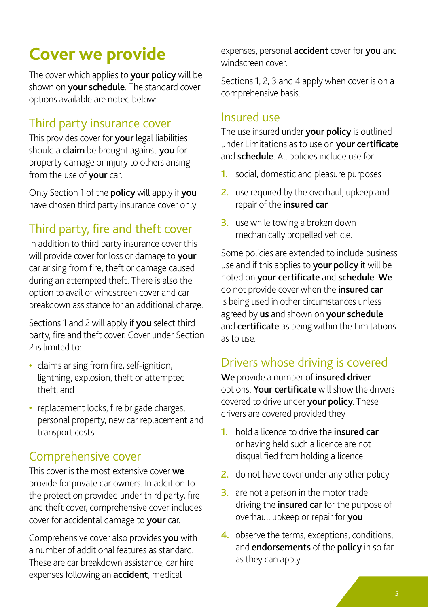# **Cover we provide**

The cover which applies to **your policy** will be shown on **your schedule**. The standard cover options available are noted below:

# Third party insurance cover

This provides cover for **your** legal liabilities should a **claim** be brought against you for property damage or injury to others arising from the use of your car.

Only Section 1 of the **policy** will apply if you have chosen third party insurance cover only.

# Third party, fire and theft cover

In addition to third party insurance cover this will provide cover for loss or damage to your car arising from fire, theft or damage caused during an attempted theft. There is also the option to avail of windscreen cover and car breakdown assistance for an additional charge.

Sections 1 and 2 will apply if you select third party, fire and theft cover. Cover under Section 2 is limited to:

- claims arising from fire, self-ignition, lightning, explosion, theft or attempted theft; and
- replacement locks, fire brigade charges, personal property, new car replacement and transport costs.

# Comprehensive cover

This cover is the most extensive cover we provide for private car owners. In addition to the protection provided under third party, fire and theft cover, comprehensive cover includes cover for accidental damage to your car.

Comprehensive cover also provides you with a number of additional features as standard. These are car breakdown assistance, car hire expenses following an **accident**, medical

expenses, personal **accident** cover for you and windscreen cover.

Sections 1, 2, 3 and 4 apply when cover is on a comprehensive basis.

### Insured use

The use insured under your policy is outlined under Limitations as to use on your certificate and schedule. All policies include use for

- 1. social, domestic and pleasure purposes
- 2. use required by the overhaul, upkeep and repair of the insured car
- **3.** use while towing a broken down mechanically propelled vehicle.

Some policies are extended to include business use and if this applies to your policy it will be noted on your certificate and schedule. We do not provide cover when the insured car is being used in other circumstances unless agreed by us and shown on your schedule and **certificate** as being within the Limitations as to use.

# Drivers whose driving is covered

We provide a number of insured driver options. Your certificate will show the drivers covered to drive under your policy. These drivers are covered provided they

- 1. hold a licence to drive the **insured car** or having held such a licence are not disqualified from holding a licence
- 2. do not have cover under any other policy
- 3. are not a person in the motor trade driving the **insured car** for the purpose of overhaul, upkeep or repair for **you**
- 4. observe the terms, exceptions, conditions, and endorsements of the policy in so far as they can apply.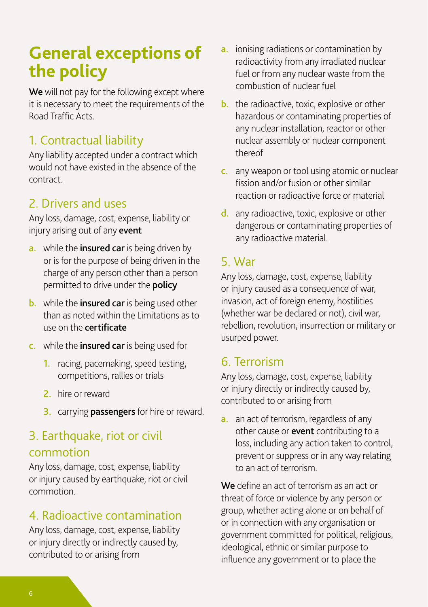# **General exceptions of the policy**

We will not pay for the following except where it is necessary to meet the requirements of the Road Traffic Acts.

# 1. Contractual liability

Any liability accepted under a contract which would not have existed in the absence of the contract.

# 2. Drivers and uses

Any loss, damage, cost, expense, liability or injury arising out of any event

- a. while the **insured car** is being driven by or is for the purpose of being driven in the charge of any person other than a person permitted to drive under the **policy**
- **b.** while the **insured car** is being used other than as noted within the Limitations as to use on the certificate
- c. while the insured car is being used for
	- 1. racing, pacemaking, speed testing, competitions, rallies or trials
	- 2. hire or reward
	- 3. carrying **passengers** for hire or reward.

# 3. Earthquake, riot or civil commotion

Any loss, damage, cost, expense, liability or injury caused by earthquake, riot or civil commotion.

# 4. Radioactive contamination

Any loss, damage, cost, expense, liability or injury directly or indirectly caused by, contributed to or arising from

- a. ionising radiations or contamination by radioactivity from any irradiated nuclear fuel or from any nuclear waste from the combustion of nuclear fuel
- **b.** the radioactive, toxic, explosive or other hazardous or contaminating properties of any nuclear installation, reactor or other nuclear assembly or nuclear component thereof
- c. any weapon or tool using atomic or nuclear fission and/or fusion or other similar reaction or radioactive force or material
- d. any radioactive, toxic, explosive or other dangerous or contaminating properties of any radioactive material.

## 5. War

Any loss, damage, cost, expense, liability or injury caused as a consequence of war, invasion, act of foreign enemy, hostilities (whether war be declared or not), civil war, rebellion, revolution, insurrection or military or usurped power.

# 6. Terrorism

Any loss, damage, cost, expense, liability or injury directly or indirectly caused by, contributed to or arising from

a. an act of terrorism, regardless of any other cause or **event** contributing to a loss, including any action taken to control, prevent or suppress or in any way relating to an act of terrorism.

We define an act of terrorism as an act or threat of force or violence by any person or group, whether acting alone or on behalf of or in connection with any organisation or government committed for political, religious, ideological, ethnic or similar purpose to influence any government or to place the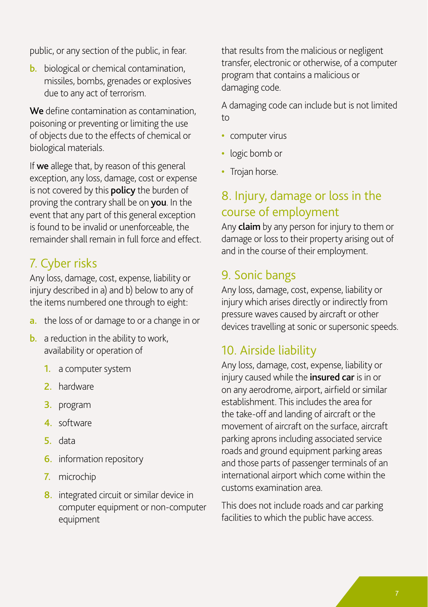public, or any section of the public, in fear.

**b.** biological or chemical contamination, missiles, bombs, grenades or explosives due to any act of terrorism.

We define contamination as contamination. poisoning or preventing or limiting the use of objects due to the effects of chemical or biological materials.

If we allege that, by reason of this general exception, any loss, damage, cost or expense is not covered by this **policy** the burden of proving the contrary shall be on **you**. In the event that any part of this general exception is found to be invalid or unenforceable, the remainder shall remain in full force and effect.

# 7. Cyber risks

Any loss, damage, cost, expense, liability or injury described in a) and b) below to any of the items numbered one through to eight:

- a. the loss of or damage to or a change in or
- **b.** a reduction in the ability to work, availability or operation of
	- 1. a computer system
	- 2 hardware
	- 3. program
	- 4. software
	- 5. data
	- 6. information repository
	- 7. microchip
	- 8. integrated circuit or similar device in computer equipment or non-computer equipment

that results from the malicious or negligent transfer, electronic or otherwise, of a computer program that contains a malicious or damaging code.

A damaging code can include but is not limited to

- computer virus
- logic bomb or
- Trojan horse.

# 8. Injury, damage or loss in the course of employment

Any claim by any person for injury to them or damage or loss to their property arising out of and in the course of their employment.

# 9. Sonic bangs

Any loss, damage, cost, expense, liability or injury which arises directly or indirectly from pressure waves caused by aircraft or other devices travelling at sonic or supersonic speeds.

# 10. Airside liability

Any loss, damage, cost, expense, liability or injury caused while the insured car is in or on any aerodrome, airport, airfield or similar establishment. This includes the area for the take-off and landing of aircraft or the movement of aircraft on the surface, aircraft parking aprons including associated service roads and ground equipment parking areas and those parts of passenger terminals of an international airport which come within the customs examination area.

This does not include roads and car parking facilities to which the public have access.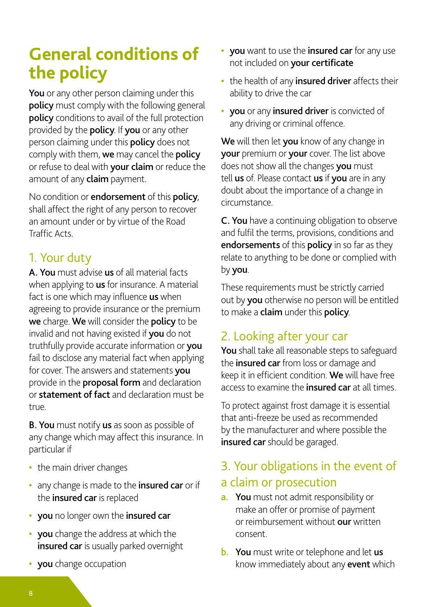# **General conditions of the policy**

You or any other person claiming under this **policy** must comply with the following general policy conditions to avail of the full protection provided by the **policy**. If you or any other person claiming under this **policy** does not comply with them, we may cancel the policy or refuse to deal with **your claim** or reduce the amount of any **claim** payment.

No condition or endorsement of this policy, shall affect the right of any person to recover an amount under or by virtue of the Road Traffic Acts.

# 1. Your duty

A. You must advise us of all material facts when applying to **us** for insurance. A material fact is one which may influence us when agreeing to provide insurance or the premium we charge. We will consider the policy to be invalid and not having existed if you do not truthfully provide accurate information or you fail to disclose any material fact when applying for cover. The answers and statements you provide in the **proposal form** and declaration or statement of fact and declaration must be true.

**B. You** must notify **us** as soon as possible of any change which may affect this insurance. In particular if

- the main driver changes
- any change is made to the *insured car* or if the *insured* car is replaced
- you no longer own the insured car
- you change the address at which the insured car is usually parked overnight
- you change occupation
- you want to use the *insured car* for any use not included on your certificate
- the health of any insured driver affects their ability to drive the car
- you or any insured driver is convicted of any driving or criminal offence.

We will then let you know of any change in your premium or your cover. The list above does not show all the changes **you** must tell us of. Please contact us if you are in any doubt about the importance of a change in circumstance.

C. You have a continuing obligation to observe and fulfil the terms, provisions, conditions and endorsements of this policy in so far as they relate to anything to be done or complied with by you.

These requirements must be strictly carried out by you otherwise no person will be entitled to make a **claim** under this **policy**.

# 2. Looking after your car

You shall take all reasonable steps to safeguard the *insured car* from loss or damage and keep it in efficient condition. We will have free access to examine the **insured car** at all times.

To protect against frost damage it is essential that anti-freeze be used as recommended by the manufacturer and where possible the insured car should be garaged.

# 3. Your obligations in the event of a claim or prosecution

- a. You must not admit responsibility or make an offer or promise of payment or reimbursement without our written consent.
- **b.** You must write or telephone and let us know immediately about any event which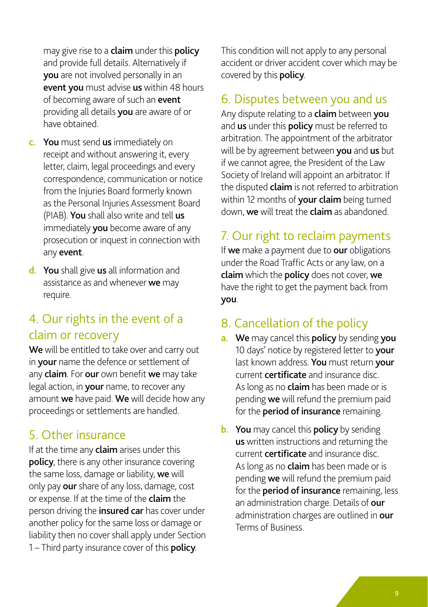may give rise to a **claim** under this **policy** and provide full details. Alternatively if you are not involved personally in an event you must advise us within 48 hours of becoming aware of such an event providing all details you are aware of or have obtained.

- c. You must send us immediately on receipt and without answering it, every letter, claim, legal proceedings and every correspondence, communication or notice from the Injuries Board formerly known as the Personal Injuries Assessment Board (PIAB). You shall also write and tell us immediately **you** become aware of any prosecution or inquest in connection with any event.
- d. You shall give us all information and assistance as and whenever we may require.

# 4. Our rights in the event of a claim or recovery

We will be entitled to take over and carry out in your name the defence or settlement of any claim. For our own benefit we may take legal action, in your name, to recover any amount we have paid. We will decide how any proceedings or settlements are handled.

# 5. Other insurance

If at the time any **claim** arises under this policy, there is any other insurance covering the same loss, damage or liability, we will only pay our share of any loss, damage, cost or expense. If at the time of the claim the person driving the *insured car* has cover under another policy for the same loss or damage or liability then no cover shall apply under Section 1 – Third party insurance cover of this **policy**.

This condition will not apply to any personal accident or driver accident cover which may be covered by this **policy**.

# 6. Disputes between you and us

Any dispute relating to a claim between you and us under this policy must be referred to arbitration. The appointment of the arbitrator will be by agreement between you and us but if we cannot agree, the President of the Law Society of Ireland will appoint an arbitrator. If the disputed **claim** is not referred to arbitration within 12 months of **your claim** being turned down, we will treat the **claim** as abandoned.

# 7. Our right to reclaim payments

If we make a payment due to our obligations under the Road Traffic Acts or any law, on a claim which the policy does not cover, we have the right to get the payment back from you.

# 8. Cancellation of the policy

- a. We may cancel this **policy** by sending you 10 days' notice by registered letter to your last known address. You must return vour current certificate and insurance disc. As long as no **claim** has been made or is pending we will refund the premium paid for the **period of insurance** remaining.
- **b.** You may cancel this **policy** by sending us written instructions and returning the current certificate and insurance disc. As long as no **claim** has been made or is pending we will refund the premium paid for the **period of insurance** remaining, less an administration charge. Details of our administration charges are outlined in our Terms of Business.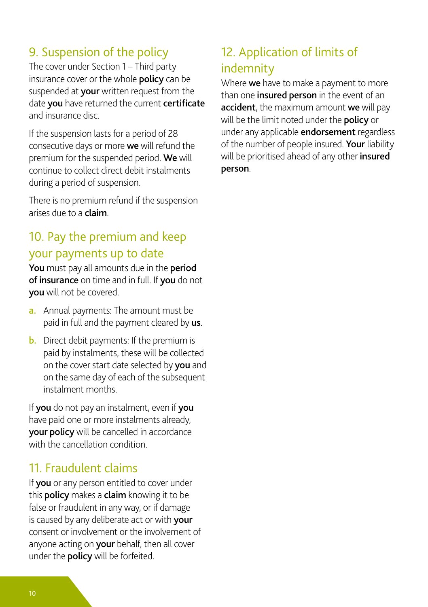# 9. Suspension of the policy

The cover under Section 1 – Third party insurance cover or the whole **policy** can be suspended at your written request from the date you have returned the current certificate and insurance disc.

If the suspension lasts for a period of 28 consecutive days or more we will refund the premium for the suspended period. We will continue to collect direct debit instalments during a period of suspension.

There is no premium refund if the suspension arises due to a claim.

# 10. Pay the premium and keep your payments up to date

You must pay all amounts due in the period of insurance on time and in full. If you do not you will not be covered.

- a. Annual payments: The amount must be paid in full and the payment cleared by us.
- **b.** Direct debit payments: If the premium is paid by instalments, these will be collected on the cover start date selected by you and on the same day of each of the subsequent instalment months.

If you do not pay an instalment, even if you have paid one or more instalments already, your policy will be cancelled in accordance with the cancellation condition.

# 11. Fraudulent claims

If you or any person entitled to cover under this **policy** makes a **claim** knowing it to be false or fraudulent in any way, or if damage is caused by any deliberate act or with your consent or involvement or the involvement of anyone acting on **your** behalf, then all cover under the **policy** will be forfeited.

# 12. Application of limits of indemnity

Where we have to make a payment to more than one *insured* person in the event of an accident, the maximum amount we will pay will be the limit noted under the **policy** or under any applicable **endorsement** regardless of the number of people insured. Your liability will be prioritised ahead of any other insured person.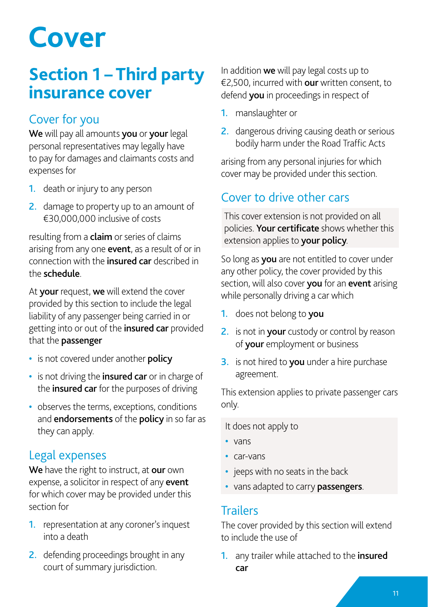# **Cover**

# **Section 1 – Third party insurance cover**

# Cover for you

We will pay all amounts you or your legal personal representatives may legally have to pay for damages and claimants costs and expenses for

- **1.** death or injury to any person
- 2. damage to property up to an amount of €30,000,000 inclusive of costs

resulting from a **claim** or series of claims arising from any one **event**, as a result of or in connection with the insured car described in the schedule.

At your request, we will extend the cover provided by this section to include the legal liability of any passenger being carried in or getting into or out of the insured car provided that the passenger

- is not covered under another policy
- is not driving the **insured car** or in charge of the **insured car** for the purposes of driving
- observes the terms, exceptions, conditions and **endorsements** of the **policy** in so far as they can apply.

# Legal expenses

We have the right to instruct, at our own expense, a solicitor in respect of any event for which cover may be provided under this section for

- 1. representation at any coroner's inquest into a death
- 2. defending proceedings brought in any court of summary jurisdiction.

In addition we will pay legal costs up to €2,500, incurred with our written consent, to defend you in proceedings in respect of

- 1. manslaughter or
- 2. dangerous driving causing death or serious bodily harm under the Road Traffic Acts

arising from any personal injuries for which cover may be provided under this section.

# Cover to drive other cars

This cover extension is not provided on all policies. Your certificate shows whether this extension applies to your policy.

So long as **you** are not entitled to cover under any other policy, the cover provided by this section, will also cover you for an event arising while personally driving a car which

- 1. does not belong to you
- 2. is not in your custody or control by reason of your employment or business
- 3. is not hired to you under a hire purchase agreement.

This extension applies to private passenger cars only.

It does not apply to

- vans
- car-vans
- jeeps with no seats in the back
- vans adapted to carry passengers.

### **Trailers**

The cover provided by this section will extend to include the use of

1. any trailer while attached to the insured car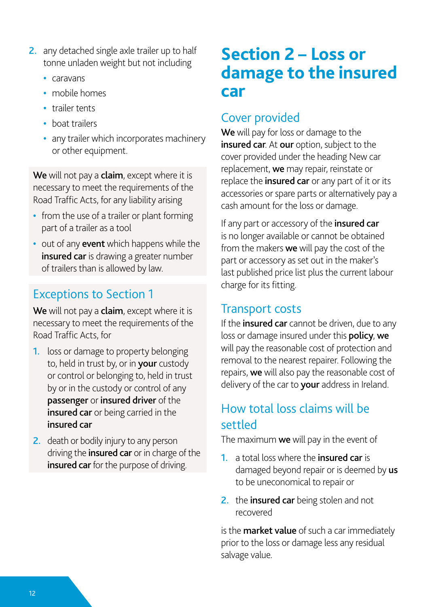- 2. any detached single axle trailer up to half tonne unladen weight but not including
	- caravans
	- mobile homes
	- trailer tents
	- boat trailers
	- any trailer which incorporates machinery or other equipment.

We will not pay a claim, except where it is necessary to meet the requirements of the Road Traffic Acts, for any liability arising

- from the use of a trailer or plant forming part of a trailer as a tool
- out of any **event** which happens while the **insured car** is drawing a greater number of trailers than is allowed by law.

# Exceptions to Section 1

We will not pay a claim, except where it is necessary to meet the requirements of the Road Traffic Acts, for

- 1. loss or damage to property belonging to, held in trust by, or in your custody or control or belonging to, held in trust by or in the custody or control of any passenger or insured driver of the insured car or being carried in the insured car
- 2. death or bodily injury to any person driving the **insured car** or in charge of the insured car for the purpose of driving.

# **Section 2 – Loss or damage to the insured car**

# Cover provided

We will pay for loss or damage to the insured car. At our option, subject to the cover provided under the heading New car replacement, we may repair, reinstate or replace the *insured car* or any part of it or its accessories or spare parts or alternatively pay a cash amount for the loss or damage.

If any part or accessory of the insured car is no longer available or cannot be obtained from the makers we will pay the cost of the part or accessory as set out in the maker's last published price list plus the current labour charge for its fitting.

# Transport costs

If the insured car cannot be driven, due to any loss or damage insured under this **policy**, we will pay the reasonable cost of protection and removal to the nearest repairer. Following the repairs, we will also pay the reasonable cost of delivery of the car to your address in Ireland.

# How total loss claims will be settled

The maximum we will pay in the event of

- 1. a total loss where the **insured car** is damaged beyond repair or is deemed by us to be uneconomical to repair or
- 2. the insured car being stolen and not recovered

is the **market value** of such a car immediately prior to the loss or damage less any residual salvage value.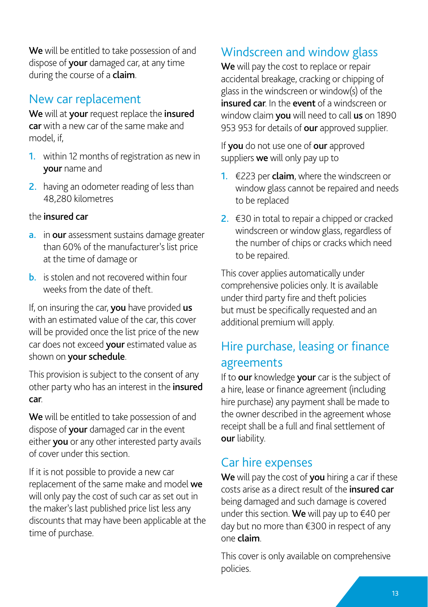We will be entitled to take possession of and dispose of your damaged car, at any time during the course of a **claim**.

## New car replacement

We will at your request replace the insured car with a new car of the same make and model if

- 1. within 12 months of registration as new in your name and
- 2. having an odometer reading of less than 48,280 kilometres

### the insured car

- a. in our assessment sustains damage greater than 60% of the manufacturer's list price at the time of damage or
- **b** is stolen and not recovered within four weeks from the date of theft.

If, on insuring the car, you have provided us with an estimated value of the car, this cover will be provided once the list price of the new car does not exceed your estimated value as shown on your schedule.

This provision is subject to the consent of any other party who has an interest in the insured car.

We will be entitled to take possession of and dispose of **your** damaged car in the event either you or any other interested party avails of cover under this section.

If it is not possible to provide a new car replacement of the same make and model we will only pay the cost of such car as set out in the maker's last published price list less any discounts that may have been applicable at the time of purchase.

# Windscreen and window glass

We will pay the cost to replace or repair accidental breakage, cracking or chipping of glass in the windscreen or window(s) of the **insured car.** In the **event** of a windscreen or window claim you will need to call us on 1890 953 953 for details of our approved supplier.

If you do not use one of our approved suppliers we will only pay up to

- 1.  $\epsilon$ 223 per **claim**, where the windscreen or window glass cannot be repaired and needs to be replaced
- 2.  $€30$  in total to repair a chipped or cracked windscreen or window glass, regardless of the number of chips or cracks which need to be repaired.

This cover applies automatically under comprehensive policies only. It is available under third party fire and theft policies but must be specifically requested and an additional premium will apply.

# Hire purchase, leasing or finance agreements

If to our knowledge your car is the subject of a hire, lease or finance agreement (including hire purchase) any payment shall be made to the owner described in the agreement whose receipt shall be a full and final settlement of our liability.

### Car hire expenses

We will pay the cost of you hiring a car if these costs arise as a direct result of the insured car being damaged and such damage is covered under this section. We will pay up to  $\epsilon$ 40 per day but no more than €300 in respect of any one claim.

This cover is only available on comprehensive policies.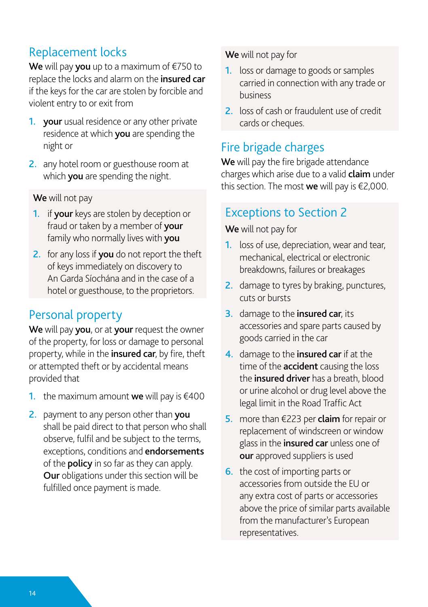# Replacement locks

We will pay you up to a maximum of  $\epsilon$ 750 to replace the locks and alarm on the insured car if the keys for the car are stolen by forcible and violent entry to or exit from

- **1.** your usual residence or any other private residence at which you are spending the night or
- 2. any hotel room or guesthouse room at which you are spending the night.

We will not pay

- 1. if your keys are stolen by deception or fraud or taken by a member of your family who normally lives with you
- 2. for any loss if you do not report the theft of keys immediately on discovery to An Garda Síochána and in the case of a hotel or guesthouse, to the proprietors.

# Personal property

We will pay you, or at your request the owner of the property, for loss or damage to personal property, while in the **insured car**, by fire, theft or attempted theft or by accidental means provided that

- 1. the maximum amount we will pay is  $\epsilon$ 400
- 2. payment to any person other than you shall be paid direct to that person who shall observe, fulfil and be subject to the terms, exceptions, conditions and **endorsements** of the **policy** in so far as they can apply. Our obligations under this section will be fulfilled once payment is made.

We will not pay for

- 1. loss or damage to goods or samples carried in connection with any trade or business
- 2. loss of cash or fraudulent use of credit cards or cheques.

# Fire brigade charges

We will pay the fire brigade attendance charges which arise due to a valid **claim** under this section. The most we will pay is  $\epsilon$ 2,000.

# Exceptions to Section 2

We will not pay for

- 1. loss of use, depreciation, wear and tear, mechanical, electrical or electronic breakdowns, failures or breakages
- 2. damage to tyres by braking, punctures, cuts or bursts
- **3.** damage to the **insured car**, its accessories and spare parts caused by goods carried in the car
- 4. damage to the **insured car** if at the time of the **accident** causing the loss the *insured driver* has a breath, blood or urine alcohol or drug level above the legal limit in the Road Traffic Act
- 5. more than €223 per claim for repair or replacement of windscreen or window glass in the *insured car* unless one of our approved suppliers is used
- 6. the cost of importing parts or accessories from outside the EU or any extra cost of parts or accessories above the price of similar parts available from the manufacturer's European representatives.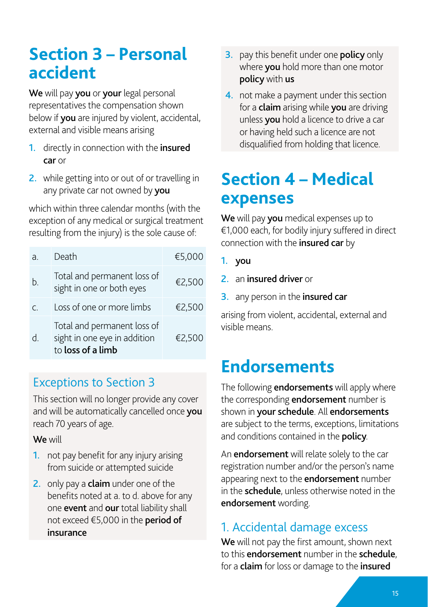# **Section 3 – Personal accident**

We will pay you or your legal personal representatives the compensation shown below if you are injured by violent, accidental, external and visible means arising

- 1. directly in connection with the insured car or
- 2. while getting into or out of or travelling in any private car not owned by **you**

which within three calendar months (with the exception of any medical or surgical treatment resulting from the injury) is the sole cause of:

| a.        | Death                                                                            | €5,000 |
|-----------|----------------------------------------------------------------------------------|--------|
| b.        | Total and permanent loss of<br>sight in one or both eyes                         | €2.500 |
| $\subset$ | Loss of one or more limbs                                                        | €2,500 |
| d.        | Total and permanent loss of<br>sight in one eye in addition<br>to loss of a limb | €2,500 |

# Exceptions to Section 3

This section will no longer provide any cover and will be automatically cancelled once vou reach 70 years of age.

### We will

- 1. not pay benefit for any injury arising from suicide or attempted suicide
- 2. only pay a claim under one of the benefits noted at a. to d. above for any one event and our total liability shall not exceed €5,000 in the period of insurance
- 3. pay this benefit under one policy only where you hold more than one motor policy with us
- 4. not make a payment under this section for a **claim** arising while you are driving unless you hold a licence to drive a car or having held such a licence are not disqualified from holding that licence.

# **Section 4 – Medical expenses**

We will pay you medical expenses up to €1,000 each, for bodily injury suffered in direct connection with the insured car by

- 1. you
- 2. an insured driver or
- **3.** any person in the insured car

arising from violent, accidental, external and visible means.

# **Endorsements**

The following **endorsements** will apply where the corresponding **endorsement** number is shown in your schedule. All endorsements are subject to the terms, exceptions, limitations and conditions contained in the **policy**.

An **endorsement** will relate solely to the car registration number and/or the person's name appearing next to the **endorsement** number in the **schedule**, unless otherwise noted in the endorsement wording.

# 1. Accidental damage excess

We will not pay the first amount, shown next to this **endorsement** number in the **schedule**. for a claim for loss or damage to the insured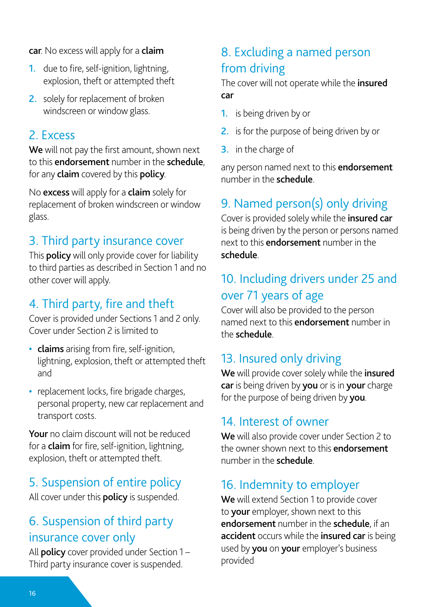car. No excess will apply for a claim

- 1. due to fire, self-ignition, lightning, explosion, theft or attempted theft
- 2. solely for replacement of broken windscreen or window glass.

### 2. Excess

We will not pay the first amount, shown next to this **endorsement** number in the **schedule**. for any **claim** covered by this **policy**.

No **excess** will apply for a **claim** solely for replacement of broken windscreen or window glass.

# 3. Third party insurance cover

This **policy** will only provide cover for liability to third parties as described in Section 1 and no other cover will apply.

# 4. Third party, fire and theft

Cover is provided under Sections 1 and 2 only. Cover under Section 2 is limited to

- **claims** arising from fire, self-ignition, lightning, explosion, theft or attempted theft and
- replacement locks, fire brigade charges, personal property, new car replacement and transport costs.

Your no claim discount will not be reduced for a claim for fire, self-ignition, lightning, explosion, theft or attempted theft.

# 5. Suspension of entire policy

All cover under this **policy** is suspended.

# 6. Suspension of third party insurance cover only

All **policy** cover provided under Section 1-Third party insurance cover is suspended.

# 8. Excluding a named person from driving

The cover will not operate while the *insured* car

- 1. is being driven by or
- 2. is for the purpose of being driven by or
- 3. in the charge of

any person named next to this endorsement number in the schedule.

# 9. Named person(s) only driving

Cover is provided solely while the insured car is being driven by the person or persons named next to this endorsement number in the schedule.

# 10. Including drivers under 25 and over 71 years of age

Cover will also be provided to the person named next to this **endorsement** number in the schedule.

# 13. Insured only driving

We will provide cover solely while the insured car is being driven by you or is in your charge for the purpose of being driven by you.

# 14. Interest of owner

We will also provide cover under Section 2 to the owner shown next to this **endorsement** number in the schedule.

# 16. Indemnity to employer

We will extend Section 1 to provide cover to your employer, shown next to this endorsement number in the schedule, if an accident occurs while the insured car is being used by you on your employer's business provided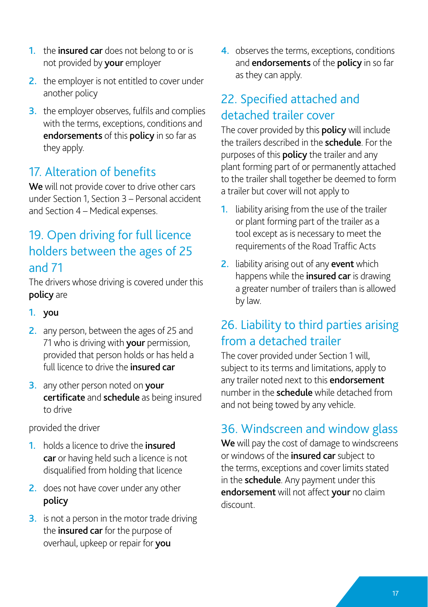- 1. the insured car does not belong to or is not provided by your employer
- 2. the employer is not entitled to cover under another policy
- 3. the employer observes, fulfils and complies with the terms, exceptions, conditions and endorsements of this policy in so far as they apply.

# 17. Alteration of benefits

We will not provide cover to drive other cars under Section 1, Section 3 – Personal accident and Section 4 – Medical expenses.

# 19. Open driving for full licence holders between the ages of 25 and 71

The drivers whose driving is covered under this policy are

- 1. you
- 2. any person, between the ages of 25 and 71 who is driving with your permission, provided that person holds or has held a full licence to drive the **insured car**
- 3. any other person noted on **your** certificate and schedule as being insured to drive

provided the driver

- 1. holds a licence to drive the **insured** car or having held such a licence is not disqualified from holding that licence
- 2. does not have cover under any other policy
- **3.** is not a person in the motor trade driving the *insured* car for the purpose of overhaul, upkeep or repair for you

4. observes the terms, exceptions, conditions and **endorsements** of the **policy** in so far as they can apply.

# 22. Specified attached and detached trailer cover

The cover provided by this **policy** will include the trailers described in the **schedule**. For the purposes of this **policy** the trailer and any plant forming part of or permanently attached to the trailer shall together be deemed to form a trailer but cover will not apply to

- 1. liability arising from the use of the trailer or plant forming part of the trailer as a tool except as is necessary to meet the requirements of the Road Traffic Acts
- 2. liability arising out of any event which happens while the *insured car* is drawing a greater number of trailers than is allowed by law.

# 26. Liability to third parties arising from a detached trailer

The cover provided under Section 1 will, subject to its terms and limitations, apply to any trailer noted next to this **endorsement** number in the schedule while detached from and not being towed by any vehicle.

# 36. Windscreen and window glass

We will pay the cost of damage to windscreens or windows of the *insured* car subject to the terms, exceptions and cover limits stated in the schedule. Any payment under this endorsement will not affect your no claim discount.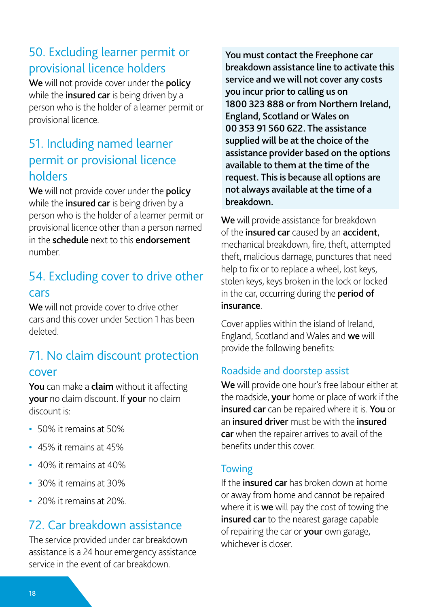# 50. Excluding learner permit or provisional licence holders

We will not provide cover under the policy while the **insured car** is being driven by a person who is the holder of a learner permit or provisional licence.

# 51. Including named learner permit or provisional licence holders

We will not provide cover under the policy while the *insured car* is being driven by a person who is the holder of a learner permit or provisional licence other than a person named in the schedule next to this endorsement number.

# 54. Excluding cover to drive other cars

We will not provide cover to drive other cars and this cover under Section 1 has been deleted.

# 71. No claim discount protection cover

You can make a claim without it affecting your no claim discount. If your no claim discount is:

- 50% it remains at 50%
- 45% it remains at 45%
- 40% it remains at 40%
- 30% it remains at 30%
- 20% it remains at 20%.

# 72. Car breakdown assistance

The service provided under car breakdown assistance is a 24 hour emergency assistance service in the event of car breakdown.

You must contact the Freephone car breakdown assistance line to activate this service and we will not cover any costs you incur prior to calling us on 1800 323 888 or from Northern Ireland, England, Scotland or Wales on 00 353 91 560 622. The assistance supplied will be at the choice of the assistance provider based on the options available to them at the time of the request. This is because all options are not always available at the time of a breakdown.

We will provide assistance for breakdown of the insured car caused by an accident, mechanical breakdown, fire, theft, attempted theft, malicious damage, punctures that need help to fix or to replace a wheel, lost keys, stolen keys, keys broken in the lock or locked in the car, occurring during the **period of** insurance.

Cover applies within the island of Ireland, England, Scotland and Wales and we will provide the following benefits:

### Roadside and doorstep assist

We will provide one hour's free labour either at the roadside, your home or place of work if the insured car can be repaired where it is. You or an **insured driver** must be with the **insured** car when the repairer arrives to avail of the benefits under this cover.

### **Towing**

If the insured car has broken down at home or away from home and cannot be repaired where it is **we** will pay the cost of towing the insured car to the nearest garage capable of repairing the car or **your** own garage, whichever is closer.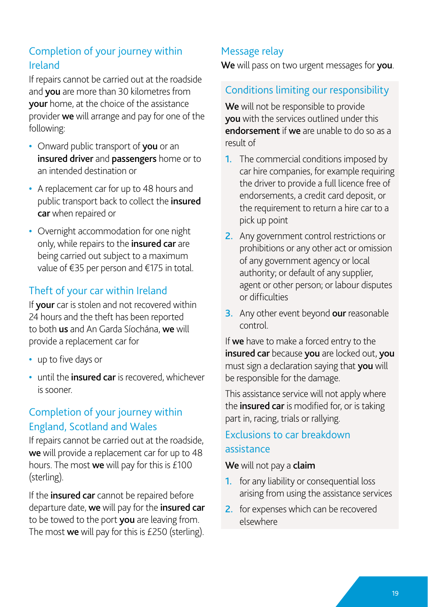## Completion of your journey within Ireland

If repairs cannot be carried out at the roadside and you are more than 30 kilometres from your home, at the choice of the assistance provider we will arrange and pay for one of the following:

- Onward public transport of you or an insured driver and passengers home or to an intended destination or
- A replacement car for up to 48 hours and public transport back to collect the insured car when repaired or
- Overnight accommodation for one night only, while repairs to the *insured* car are being carried out subject to a maximum value of €35 per person and €175 in total.

### Theft of your car within Ireland

If your car is stolen and not recovered within 24 hours and the theft has been reported to both us and An Garda Síochána, we will provide a replacement car for

- up to five days or
- until the **insured car** is recovered, whichever is sooner.

## Completion of your journey within England, Scotland and Wales

If repairs cannot be carried out at the roadside, we will provide a replacement car for up to 48 hours. The most we will pay for this is £100 (sterling).

If the insured car cannot be repaired before departure date, we will pay for the insured car to be towed to the port you are leaving from. The most we will pay for this is £250 (sterling).

### Message relay

We will pass on two urgent messages for you.

### Conditions limiting our responsibility

We will not be responsible to provide **vou** with the services outlined under this endorsement if we are unable to do so as a result of

- 1. The commercial conditions imposed by car hire companies, for example requiring the driver to provide a full licence free of endorsements, a credit card deposit, or the requirement to return a hire car to a pick up point
- 2. Any government control restrictions or prohibitions or any other act or omission of any government agency or local authority; or default of any supplier, agent or other person; or labour disputes or difficulties
- 3. Any other event beyond our reasonable control.

If we have to make a forced entry to the insured car because you are locked out, you must sign a declaration saying that you will be responsible for the damage.

This assistance service will not apply where the *insured car* is modified for, or is taking part in, racing, trials or rallying.

### Exclusions to car breakdown assistance

We will not pay a claim

- 1. for any liability or consequential loss arising from using the assistance services
- 2. for expenses which can be recovered elsewhere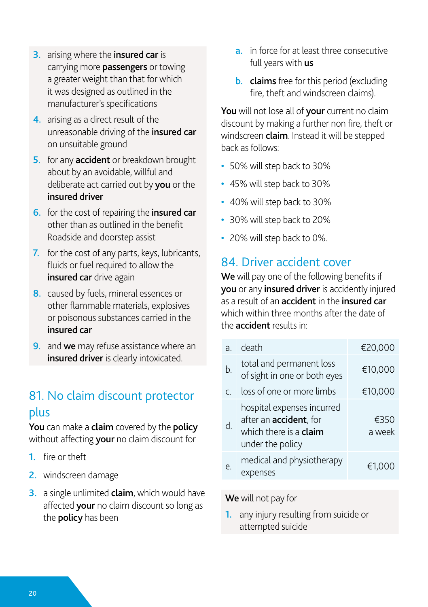- **3.** arising where the **insured car** is carrying more **passengers** or towing a greater weight than that for which it was designed as outlined in the manufacturer's specifications
- 4. arising as a direct result of the unreasonable driving of the *insured car* on unsuitable ground
- 5. for any **accident** or breakdown brought about by an avoidable, willful and deliberate act carried out by you or the insured driver
- 6. for the cost of repairing the insured car other than as outlined in the benefit Roadside and doorstep assist
- 7. for the cost of any parts, keys, lubricants, fluids or fuel required to allow the insured car drive again
- 8. caused by fuels, mineral essences or other flammable materials, explosives or poisonous substances carried in the insured car
- 9. and we may refuse assistance where an insured driver is clearly intoxicated.

# 81. No claim discount protector plus

You can make a claim covered by the policy without affecting your no claim discount for

- 1. fire or theft
- 2. windscreen damage
- 3. a single unlimited claim, which would have affected **your** no claim discount so long as the **policy** has been
- a. in force for at least three consecutive full years with us
- **b.** claims free for this period (excluding fire, theft and windscreen claims).

You will not lose all of your current no claim discount by making a further non fire, theft or windscreen **claim**. Instead it will be stepped back as follows:

- 50% will step back to 30%
- 45% will step back to 30%
- 40% will step back to 30%
- 30% will step back to 20%
- 20% will step back to 0%.

# 84. Driver accident cover

We will pay one of the following benefits if you or any insured driver is accidently injured as a result of an **accident** in the **insured car** which within three months after the date of the accident results in:

| <sub>a</sub> | death                                                                                                             | €20,000        |
|--------------|-------------------------------------------------------------------------------------------------------------------|----------------|
| b.           | total and permanent loss<br>of sight in one or both eyes                                                          | €10,000        |
|              | loss of one or more limbs                                                                                         | €10,000        |
| d.           | hospital expenses incurred<br>after an <b>accident</b> , for<br>which there is a <b>claim</b><br>under the policy | €350<br>a week |
| e.           | medical and physiotherapy<br>enses                                                                                | €1,000         |

We will not pay for

1. any injury resulting from suicide or attempted suicide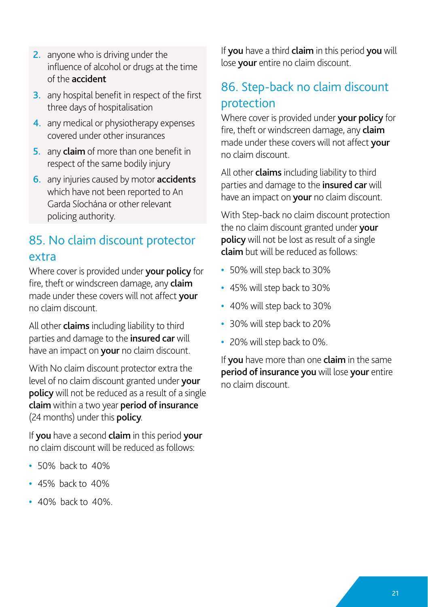- 2. anyone who is driving under the influence of alcohol or drugs at the time of the accident
- 3. any hospital benefit in respect of the first three days of hospitalisation
- 4. any medical or physiotherapy expenses covered under other insurances
- **5.** any **claim** of more than one benefit in respect of the same bodily injury
- 6. any injuries caused by motor **accidents** which have not been reported to An Garda Síochána or other relevant policing authority.

# 85. No claim discount protector extra

Where cover is provided under your policy for fire, theft or windscreen damage, any claim made under these covers will not affect your no claim discount.

All other **claims** including liability to third parties and damage to the *insured* car will have an impact on **your** no claim discount.

With No claim discount protector extra the level of no claim discount granted under your policy will not be reduced as a result of a single claim within a two year period of insurance (24 months) under this **policy**.

If you have a second claim in this period your no claim discount will be reduced as follows:

- 50% back to 40%
- 45% back to 40%
- 40% back to 40%.

If you have a third claim in this period you will lose your entire no claim discount.

# 86. Step-back no claim discount protection

Where cover is provided under your policy for fire, theft or windscreen damage, any claim made under these covers will not affect your no claim discount.

All other claims including liability to third parties and damage to the *insured car* will have an impact on your no claim discount.

With Step-back no claim discount protection the no claim discount granted under your policy will not be lost as result of a single claim but will be reduced as follows:

- 50% will step back to 30%
- 45% will step back to 30%
- 40% will step back to 30%
- 30% will step back to 20%
- 20% will step back to 0%.

If you have more than one claim in the same period of insurance you will lose your entire no claim discount.